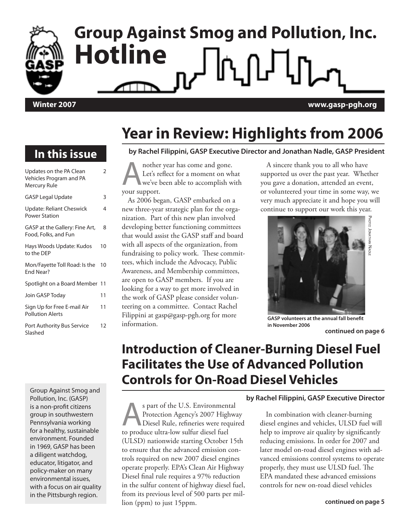# **Group Against Smog and Pollution, Inc. Hotline Winter 2007 www.gasp-pgh.org**

**In this issue**

### **Year in Review: Highlights from 2006**

#### **by Rachel Filippini, GASP Executive Director and Jonathan Nadle, GASP President**

Updates on the PA Clean Vehicles Program and PA Mercury Rule 2 GASP Legal Update 3 Update: Reliant Cheswick Power Station 4 GASP at the Gallery: Fine Art, Food, Folks, and Fun 8 Hays Woods Update: Kudos to the DEP 10 Mon/Fayette Toll Road: Is the 10 End Near? Spotlight on a Board Member 11 Join GASP Today 11 Sign Up for Free E-mail Air Pollution Alerts 11 Port Authority Bus Service Slashed 12

Group Against Smog and Pollution, Inc. (GASP) is a non-profit citizens group in southwestern Pennsylvania working for a healthy, sustainable environment. Founded in 1969, GASP has been a diligent watchdog, educator, litigator, and policy-maker on many environmental issues, with a focus on air quality in the Pittsburgh region.

**A** nother year has come and gone.<br>Let's reflect for a moment on wh<br>we've been able to accomplish w Let's reflect for a moment on what we've been able to accomplish with your support.

As 2006 began, GASP embarked on a new three-year strategic plan for the organization. Part of this new plan involved developing better functioning committees that would assist the GASP staff and board with all aspects of the organization, from fundraising to policy work. These committees, which include the Advocacy, Public Awareness, and Membership committees, are open to GASP members. If you are looking for a way to get more involved in the work of GASP please consider volunteering on a committee. Contact Rachel Filippini at gasp@gasp-pgh.org for more information.

A sincere thank you to all who have supported us over the past year. Whether you gave a donation, attended an event, or volunteered your time in some way, we very much appreciate it and hope you will continue to support our work this year.



**GASP volunteers at the annual fall benefit in November 2006**

### **Introduction of Cleaner-Burning Diesel Fuel Facilitates the Use of Advanced Pollution Controls for On-Road Diesel Vehicles**

s part of the U.S. Environmental<br>Protection Agency's 2007 Highway<br>Diesel Rule, refineries were required Protection Agency's 2007 Highway Diesel Rule, refineries were required to produce ultra-low sulfur diesel fuel (ULSD) nationwide starting October 15th to ensure that the advanced emission controls required on new 2007 diesel engines operate properly. EPA's Clean Air Highway Diesel final rule requires a 97% reduction in the sulfur content of highway diesel fuel, from its previous level of 500 parts per million (ppm) to just 15ppm.

#### **by Rachel Filippini, GASP Executive Director**

In combination with cleaner-burning diesel engines and vehicles, ULSD fuel will help to improve air quality by significantly reducing emissions. In order for 2007 and later model on-road diesel engines with advanced emissions control systems to operate properly, they must use ULSD fuel. The EPA mandated these advanced emissions controls for new on-road diesel vehicles

**continued on page 6**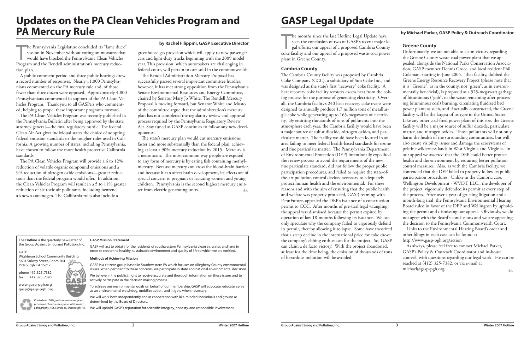The **Hotline** is the quarterly newsletter of the Group Against Smog and Pollution, Inc.

#### GASP

Wightman School Community Building 5604 Solway Street, Room 204 Pittsburgh, PA 15217

phone 412.325.7382 fax 412.325.7390

www.gasp-pgh.org gasp@gasp-pgh.org



#### **GASP Mission Statement**

GASP will act to obtain for the residents of southwestern Pennsylvania clean air, water, and land in order to create the healthy, sustainable environment and quality of life to which we are entitled.

#### **Methods of Achieving Mission**

GASP is a citizens group based in Southwestern PA which focuses on Allegheny County environmental issues. When pertinent to these concerns, we participate in state and national environmental decisions.

We believe in the public's right to receive accurate and thorough information on these issues and to actively participate in the decision making process.

**by Rachel Filippini, GASP Executive Director**<br>session in November without voting on measures that would have blocked the Pennsylvania Clean Vehicles are and light-duty trucks beginning with the 2009 model<br>Program and the he Pennsylvania Legislature concluded its "lame duck" session in November without voting on measures that would have blocked the Pennsylvania Clean Vehicles Program and the Rendell administration's mercury reduction plan.

> To achieve our environmental goals on behalf of our membership, GASP will advocate, educate, serve as an environmental watchdog, mobilize action, and litigate when necessary.

We will work both independently and in cooperation with like-minded individuals and groups as determined by the Board of Directors.

We will uphold GASP's reputation for scientific integrity, honesty, and responsible involvement.

Printed on 100% post-consumer recycled, processed chlorine-free paper at Forward Lithography, 4065 Irvine St., Pittsburgh, PA.

ala

## **Updates on the PA Clean Vehicles Program and PA Mercury Rule**

The state's mercury plan would cut mercury emissions faster and more substantially than the federal plan, achieving at least a 90% mercury reduction by 2015. Mercury is a neurotoxin. The most common way people are exposed to any form of mercury is by eating fish containing methylmercury. Because mercury can cross the blood-brain barrier, and because it can affect brain development, its effects are of special concern to pregnant or lactating women and young children. Pennsylvania is the second highest mercury emitter from electric generating units.  $\delta$ 

A public comment period and three public hearings drew a record number of responses. Nearly 11,000 Pennsylvanians commented on the PA mercury rule and, of those, fewer than three dozen were opposed. Approximately 4,800 Pennsylvanians commented in support of the PA Clean Vehicles Program. Thank you to all GASPers who commented, helping to propel these important programs forward.

plant in Greene County. **Cambria County** The Cambria County facility was proposed by Cambria Coke Company (CCC), a subsidiary of Sun Coke Inc., and was designed as the state's first "recovery" coke facility. A heat recovery coke facility reroutes excess heat from the coking process for the purpose of generating electricity. Overall, the Cambria facility's 240 heat recovery coke ovens were designed to annually produce 1.7 million tons of metallurgic coke while generating up to 165-megawatts of electricity. By emitting thousands of tons of pollutants into the atmosphere each year, the Cambria facility would have been a major source of sulfur dioxide, nitrogen oxides, and particulate matter. The facility would have been located in an area failing to meet federal health-based standards for ozone and fine particulate matter. The Pennsylvania Department of Environmental Protection (DEP) intentionally expedited the review process to avoid the requirements of the new fine particulate standard, did not follow the proper public participation procedures, and failed to require the state-ofthe-art pollution control devices necessary to adequately protect human health and the environmental. For these reasons and with the aim of ensuring that the public health and welfare was properly protected, GASP, teaming with PennFuture, appealed the DEP's issuance of a construction permit to CCC. After months of pre-trial legal wrangling, the appeal was dismissed because the permit expired by operation of law 18-months following its issuance. We can only speculate why the company failed to vigorously defend its permit, thereby allowing it to lapse. Some have theorized that a steep decline in the international price for coke drove the company's ebbing enthusiasm for the project. So, GASP can claim a de facto victory! With the project abandoned, at least for the time being, the emission of thousands of tons of hazardous pollution will be avoided. mentally beneficial), is proposed as a 525-megawatt garbage of bituminous ("gob", or the waste remaining after processpower plant; as such, and if actually constructed, the Greene Like any other coal-fired power plant of this size, the Greene matter, and nitrogen oxides. Those pollutants will not only contended that the DEP failed to properly follow its public Wellington Development - WVDT, LLC., the developer of month-long trial, the Pennsylvania Environmental Hearing Board ruled in favor of the DEP and Wellington by upholding the permit and dismissing our appeal. Obviously, we do not agree with the Board's conclusions and we are appealing As always, please feel free to contact Michael Parker, GASP's Policy & Outreach Coordinator and in-house counsel, with questions regarding our legal work. He can be reached at (412) 325-7382, or via e-mail at michael@gasp-pgh.org. **by Michael Parker, GASP Policy & Outreach Coordinator** ðħ

The PA Clean Vehicles Program was recently published in the Pennsylvania Bulletin after being approved by the state attorney general—the final regulatory hurdle. The federal Clean Air Act gives individual states the choice of adopting federal emission standards or the tougher rules used in California. A growing number of states, including Pennsylvania, have chosen to follow the more health protective California standards.

The PA Clean Vehicles Program will provide a 6 to 12% reduction of volatile organic compound emissions and a 9% reduction of nitrogen oxide emissions—greater reductions than the federal program would offer. In addition, the Clean Vehicles Program will result in a 5 to 11% greater reduction of six toxic air pollutants, including benzene, a known carcinogen. The California rules also include a

greenhouse gas provision which will apply to new passenger cars and light-duty trucks beginning with the 2009 model year. This provision, which automakers are challenging in federal court, will pertain to cars sold in the commonwealth.

The Rendell Administration Mercury Proposal has successfully passed several important committee hurdles; however, it has met strong opposition from the Pennsylvania Senate Environmental Resources and Energy Committee, chaired by Senator Mary Jo White. The Rendell Mercury Proposal is moving forward, but Senator White and Musto of the committee argue that the administration's mercury plan has not completed the regulatory review and approval process required by the Pennsylvania Regulatory Review Act. Stay tuned as GASP continues to follow any new developments.

he months since the last Hotline Legal Update have<br>seen the conclusion of two of GASP's recent major le-<br>gal efforts: our appeal of a proposed Cambria County<br>coke facility and our appeal of a proposed waste-coal power he months since the last Hotline Legal Update have seen the conclusion of two of GASP's recent major legal efforts: our appeal of a proposed Cambria County **Greene County** Unfortunately, we are not able to claim victory regarding the Greene County waste-coal power plant that we appealed, alongside the National Parks Conservation Association, GASP member Dennis Groce, and local resident Phil Coleman, starting in June 2005. That facility, dubbed the Greene Energy Resource Recovery Project (please note that it is "Greene", as in the county, not "green", as in environing bituminous coal) burning, circulating fluidized bed facility will be the largest of its type in the United States. facility will be a major source of sulfur dioxide, particulate harm the health of the surrounding communities, but will also create visibility issues and damage the ecosystems of pristine wilderness lands in West Virginia and Virginia. In our appeal we asserted that the DEP could better protect health and the environment by requiring better pollution control measures. Also, as with the Cambria facility, we participation procedures. Unlike in the Cambria case, the project, vigorously defended its permit at every step of the process. After over a year of grueling litigation and a the decision to the Pennsylvania Commonwealth Court. Links to the Environmental Hearing Board's order and other filings in each case can be found at http://www.gasp-pgh.org/action

## **GASP Legal Update**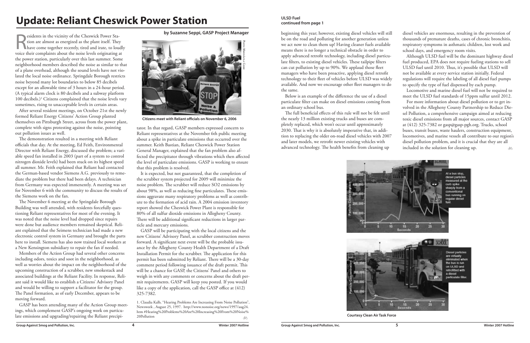Subsetted in the vicinity of the Cheswick Power Sta-<br>tion are almost as energized as the plant itself. They<br>have come together recently, tired and irate, to lou-<br>voice their complaints about the poise levels originating tion are almost as energized as the plant itself. They have come together recently, tired and irate, to loudly voice their complaints about the noise levels originating at the power station, particularly over this last summer. Some neighborhood members described the noise as similar to that of a plane overhead, although the sound levels have not violated the local noise ordinance. Springdale Borough restricts noise beyond many lot boundaries to below 85 decibels except for an allowable time of 3 hours in a 24-hour period. (A typical alarm clock is 80 decibels and a subway platform 100 decibels.)<sup>1</sup> Citizens complained that the noise levels vary sometimes, rising to unacceptable levels in certain areas.

After several resident meetings, on October 21st the newly formed Reliant Energy Citizens' Action Group planted themselves on Pittsburgh Street, across from the power plant, complete with signs protesting against the noise, pointing out pollution issues as well.

The demonstration resulted in a meeting with Reliant officials that day. At the meeting, Ed Feith, Environmental Director with Reliant Energy, discussed the problem; a variable speed fan installed in 2003 (part of a system to control nitrogen dioxide levels) had been stuck on its highest speed all summer. Mr. Feith explained that Reliant had contacted the German-based vendor Siemens A.G. previously to remediate the problem but there had been delays. A technician from Germany was expected immenently. A meeting was set for November 6 with the community to discuss the results of the Siemens work on the fan.

The November 6 meeting at the Springdale Borough Building was well attended, with residents forcefully questioning Reliant representatives for most of the evening. It was noted that the noise level had dropped since repairs were done but audience members remained skeptical. Reliant explained that the Seimens technician had made a new electronic control system in Germany and brought the parts here to install. Siemens has also now trained local workers at a New Kensington subsidiary to repair the fan if needed.

> 1. Claudia Kalb, "Hearing Problems Are Increasing From Noise Pollution", Newsweek , August 25, 1997. http://www.nonoise.org/news/1997/aug24. htm #Hearing%20Problems%20Are%20Increasing%20From%20Noise% 20Pollution ðó

Members of the Action Group had several other concerns including odors, toxics and soot in the neighborhood, as well as worries about the impact on the neighborhood of the upcoming construction of a scrubber, new smokestack and associated buildings at the Reliant Facility. In response, Reliant said it would like to establish a Citizens' Advisory Panel and would be willing to support a facilitator for the group. The Panel formation, as of early December, appears to be moving forward.

GASP has been attending many of the Action Group meetings, which complement GASP's ongoing work on particulate emissions and upgrading/repairing the Reliant precipi**by Suzanne Seppi, GASP Project Manager**

## **Update: Reliant Cheswick Power Station**

tator. In that regard, GASP members expressed concern to Reliant representatives at the November 6th public meeting about a spike in particulate emissions that occurred over the summer. Keith Bastian, Reliant Cheswick Power Station General Manager, explained that the fan problem also affected the precipitator through vibrations which then affected the level of particulate emissions. GASP is working to ensure that this problem is resolved.

For more information about diesel pollution or to get involved in the Allegheny County Partnership to Reduce Diesel Pollution, a comprehensive campaign aimed at reducing toxic diesel emissions from all major sources, contact GASP at (412) 325-7382 or gasp@gasp-pgh.org. Trucks, school buses, transit buses, waste haulers, construction equipment, locomotives, and marine vessels all contribute to our region's diesel pollution problem, and it is crucial that they are all included in the solution for cleaning up. ðó

It is expected, but not guaranteed, that the completion of the scrubber system projected for 2009 will minimize the noise problem. The scrubber will reduce SO2 emissions by about 98%, as well as reducing fine particulates. These emissions aggravate many respiratory problems as well as contribute to the formation of acid rain. A 2004 emission inventory report showed the Cheswick Power Plant is responsible for 80% of all sulfur dioxide emissions in Allegheny County. There will be additional significant reductions in larger particle and mercury emissions.

GASP will be participating with the local citizens and the new Citizens' Advisory Panel, as scrubber construction moves forward. A significant next event will be the probable issuance by the Allegheny County Health Department of a Draft Installation Permit for the scrubber. The application for this permit has been submitted by Reliant. There will be a 30-day comment period following issuance of the draft permit. This will be a chance for GASP, the Citizens' Panel and others to weigh in with any comments or concerns about the draft permit requirements. GASP will keep you posted. If you would like a copy of the application, call the GASP office at (412) 325-7382.

Below is an example of the difference the use of a diesel particulate filter can make on diesel emissions coming from an ordinary school bus.

beginning this year; however, existing diesel vehicles will still be on the road and polluting for another generation unless we act now to clean them up! Having cleaner fuels available means there is no longer a technical obstacle in order to apply advanced retrofit technology, including diesel particulate filters, to existing diesel vehicles. These tailpipe filters can cut pollution by up to 90%. We applaud those fleet managers who have been proactive, applying diesel retrofit technology to their fleet of vehicles before ULSD was widely available. And now we encourage other fleet managers to do the same. diesel vehicles are enormous, resulting in the prevention of thousands of premature deaths, cases of chronic bronchitis, respiratory symptoms in asthmatic children, lost work and school days, and emergency room visits. Although ULSD fuel will be the dominant highway diesel fuel produced, EPA does not require fueling stations to sell ULSD fuel until 2010. Thus, it's possible that ULSD will not be available at every service station initially. Federal regulations will require the labeling of all diesel fuel pumps to specify the type of fuel dispensed by each pump. Locomotive and marine diesel fuel will not be required to

The full beneficial effects of this rule will not be felt until the nearly 13 million existing trucks and buses are completely replaced, which won't occur until approximately 2030. That is why it is absolutely imperative that, in addition to replacing the older on-road diesel vehicles with 2007 and later models, we retrofit newer existing vehicles with advanced technology. The health benefits from cleaning up



meet the ULSD fuel standards of 15ppm sulfur until 2012.

#### **ULSD Fuel continued from page 1**



**Courtesy Clean Air Task Force**



**Citizens meet with Reliant officials on November 6, 2006**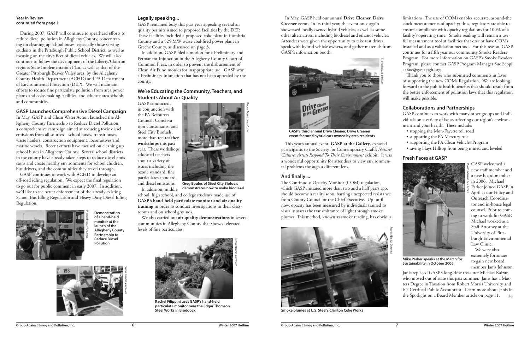During 2007, GASP will continue to spearhead efforts to reduce diesel pollution in Allegheny County, concentrating on cleaning up school buses, especially those serving students in the Pittsburgh Public School District, as well as focusing on the city's fleet of diesel vehicles. We will also continue to follow the development of the Liberty/Clairton region's State Implementation Plan, as well as that of the Greater Pittsburgh Beaver Valley area, by the Allegheny County Health Department (ACHD) and PA Department of Environmental Protection (DEP). We will maintain efforts to reduce fine particulate pollution from area power plants and coke-making facilities, and educate area schools and communities.

### **GASP Launches Comprehensive Diesel Campaign**

In May, GASP and Clean Water Action launched the Allegheny County Partnership to Reduce Diesel Pollution, a comprehensive campaign aimed at reducing toxic diesel emissions from all sources—school buses, transit buses, waste haulers, construction equipment, locomotives and marine vessels. Recent efforts have focused on cleaning up school buses in Allegheny County. Several school districts in the county have already taken steps to reduce diesel emissions and create healthy environments for school children, bus drivers, and the communities they travel through.

GASP continues to work with ACHD to develop an off-road idling regulation. We expect the final regulation to go out for public comment in early 2007. In addition, we'd like to see better enforcement of the already existing School Bus Idling Regulation and Heavy Duty Diesel Idling Regulation.

### **Legally speaking...**

GASP remained busy this past year appealing several air quality permits issued to proposed facilities by the DEP. These facilities included a proposed coke plant in Cambria County and a 525 MW waste coal-fired power plant in Greene County, as discussed on page 3.

In addition, GASP filed a motion for a Preliminary and Permanent Injunction in the Allegheny County Court of Common Pleas, in order to prevent the disbursement of Clean Air Fund monies for inappropriate use. GASP won a Preliminary Injunction that has not been appealed by the county.

### **We're Educating the Community, Teachers, and Students About Air Quality**

GASP conducted, in conjunction with the PA Resources Council, Conservation Consultants, and Steel City Biofuels, more than ten **teacher workshops** this past year. These workshops educated teachers about a variety of issues including the ozone standard, fine particulates standard, and diesel emissions. In addition, middle



school, high school, and college students made use of **GASP's hand-held particulate monitor and air quality training** in order to conduct investigations in their classrooms and on school grounds.

> Janis replaced GASP's long-time treasurer Michael Kaizar, who moved out of state this past summer. Janis has a Masters Degree in Taxation from Robert Morris University and is a Certified Public Accountant. Learn more about Janis in the Spotlight on a Board Member article on page 11.  $\qquad \circledast$

We also carried out **air quality demonstrations** in several communities in Allegheny County that showed elevated levels of fine particulates.

#### **Year in Review continued from page 1**

In May, GASP held our annual **Drive Cleaner, Drive**  Greener event. In its third year, the event once again showcased locally owned hybrid vehicles, as well as some other alternatives, including biodiesel and ethanol vehicles. Attendees were given the opportunity to take test drives, speak with hybrid vehicle owners, and gather materials from GASP's information booth.

This year's annual event, **GASP at the Gallery**, exposed participants to the Society for Contemporary Craft's *Nature/ Culture: Artists Respond To Their Environment* exhibit. It was a wonderful opportunity for attendees to view environmental problems through a different lens.

#### **And finally ...**

The Continuous Opacity Monitor (COM) regulation, which GASP initiated more than two and a half years ago, should become a reality soon, barring unexpected resistance from County Council or the Chief Executive. Up until now, opacity has been measured by individuals trained to visually assess the transmittance of light through smoke plumes. This method, known as smoke reading, has obvious limitations. The use of COMs enables accurate, around-the clock measurements of opacity; thus, regulators are able to ensure compliance with opacity regulations for 100% of a facility's operating time. Smoke reading will remain a useful measurement tool at facilities that do not have COMs installed and as a validation method. For this reason, GASP continues for a fifth year our community Smoke Readers Program. For more information on GASP's Smoke Readers Program, please contact GASP Program Manager Sue Seppi at sue@gasp-pgh.org.

Thank you to those who submitted comments in favor of supporting the new COMs Regulation. We are looking forward to the public health benefits that should result from the better enforcement of pollution laws that this regulation will make possible.

#### **Collaborations and Partnerships**

GASP continues to work with many other groups and individuals on a variety of issues affecting our region's environment and your health. These include:

- stopping the Mon-Fayette toll road
- supporting the PA Mercury rule
- supporting the PA Clean Vehicles Program
- saving Hays Hilltop from being mined and leveled

### **Fresh Faces at GASP**

GASP welcomed a new staff member and a new board member in 2006. Michael Parker joined GASP in April as our Policy and Outreach Coordinator and in-house legal counsel. Prior to coming to work for GASP, Michael worked as a Staff Attorney at the University of Pittsburgh Environmental Law Clinic.

We were also extremely fortunate to gain new board member Janis Johnson.





**Demonstration of a hand-held monitor at the launch of the Allegheny County Partnership to Reduce Diesel Pollution**

PHOTO: BRIDGET YUPCAVAGE



**Rachel Filippini uses GASP's hand-held particulate monitor near the Edgar Thomson Steel Works in Braddock**

PHOTO: MAREN LEYLA COOKE

**Greg Boulos of Steel City Biofuels demonstrates how to make biodiesel**

PHOTO: NEIL M. DONAHUE



**GASP's third annual Drive Cleaner, Drive Greener event featured hybrid cars owned by area residents**



**Smoke plumes at U.S. Steel's Clairton Coke Works**



**Mike Parker speaks at the March for Sustainability in October 2006**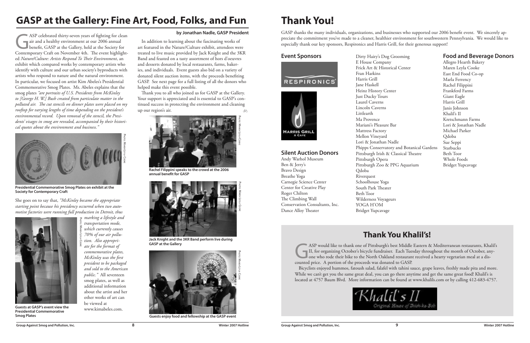ASP celebrated thirty-seven years of fighting for clean air and a healthy environment at our 2006 annual benefit, GASP at the Gallery, held at the Society for Contemporary Craft on November 4th. The event highlighted *Nature/Culture: Artists Respond To Their Environment*, an exhibit which compared works by contemporary artists who identify with culture and our urban society's byproducts with artists who respond to nature and the natural environment. In particular, we focused on artist Kim Abeles's Presidential Commemorative Smog Plates. Ms. Abeles explains that the smog plates *"are portraits of U.S. Presidents from McKinley to [George H. W.] Bush created from particulate matter in the polluted air. The cut stencils on dinner plates were placed on my rooftop for varying lengths of time depending on the president's environmental record. Upon removal of the stencil, the Presidents' visages in smog are revealed, accompanied by their historical quotes about the environment and business."*

#### **by Jonathan Nadle, GASP President**

## **GASP at the Gallery: Fine Art, Food, Folks, and Fun**

ASP would like to thank one of Pittsburgh's best Middle Eastern & Mediterranean restaurants, Khalil's II, for organizing October's bicycle fundraiser. Each Tuesday throughout the month of October, anyone who rode their bik II, for organizing October's bicycle fundraiser. Each Tuesday throughout the month of October, anyone who rode their bike to the North Oakland restaurant received a hearty vegetarian meal at a discounted price. A portion of the proceeds was donated to GASP. Bicyclists enjoyed hummos, fatoush salad, falafel with tahini sauce, grape leaves, freshly made pita and more. While we can't get you the same great deal, you can go there anytime and get the same great food! Khalil's is located at 4757 Baum Blvd. More information can be found at www.khalils.com or by calling 412-683-4757.



GASP thanks the many individuals, organizations, and businesses who supported our 2006 benefit event. We sincerely appreciate the commitment you've made to a cleaner, healthier environment for southwestern Pennsylvania. We would like to especially thank our key sponsors, Respironics and Harris Grill, for their generous support!

> Dirty Hairy's Dog E House Compan Frick Art & Histo Fran Harkins Harris Grill Jane Haskell Heinz History Ce Just Ducky Tours Laurel Caverns Lincoln Caverns Littlearth Ma Provence Mariani's Pleasure Mattress Factory Mellon Vineyard Lori & Jonathan N Phipps Conservatory Pittsburgh Irish & Pittsburgh Opera Pittsburgh Zoo & Qdoba Riverquest Schoolhouse Yoga South Park Theater Beth Toor Wilderness Voyageurs YOGA H'OM Bridget Yupcavage

### **Silent Auction Donors**

Andy Warhol Museum Ben & Jerry's Bravo Design Breathe Yoga Carnegie Science Center Center for Creative Play Roger Chilton The Climbing Wall Conservation Consultants, Inc. Dance Alloy Theater

### **Thank You Khalil's!**

Thank you to all who joined us for GASP at the Gallery. Your support is appreciated and is essential to GASP's continued success in protecting the environment and cleaning up our region's air. ക്ക

## **Thank You!**

| Grooming                  | <b>Food and Beverage Donors</b> |  |
|---------------------------|---------------------------------|--|
| y                         | Allegro Hearth Bakery           |  |
| rical Center              | Maren Leyla Cooke               |  |
|                           | East End Food Co-op             |  |
|                           | Marla Ferrency                  |  |
|                           | Rachel Filippini                |  |
| nter                      | Frankferd Farms                 |  |
|                           | Giant Eagle                     |  |
|                           | Harris Grill                    |  |
|                           | Janis Johnson                   |  |
|                           | Khalil's II                     |  |
|                           | Kretschmann Farms               |  |
| Bar                       | Lori & Jonathan Nadle           |  |
|                           | Michael Parker                  |  |
|                           | Qdoba                           |  |
| Vadle                     | Sue Seppi                       |  |
| ory and Botanical Gardens | Starbucks                       |  |
| Classical Theatre         | <b>Beth Toor</b>                |  |
|                           | Whole Foods                     |  |
| PPG Aquarium              | Bridget Yupcavage               |  |
|                           |                                 |  |

#### **Event Sponsors**







**Presidential Commemorative Smog Plates on exhibit at the Society for Contemporary Craft**

**Presidential Commemorative** 

**Smog Plates**



**Guests enjoy food and fellowship at the GASP event**



PHOTO: MAREN LEYLA COOKE *marking a lifestyle and transportation mode, which currently causes 70% of our air pollution. Also appropri-*

She goes on to say that, *"McKinley became the appropriate starting point because his presidency occurred when two automotive factories were running full production in Detroit, thus* 

> *ate for the format of commemorative plates, McKinley was the first president to be packaged and sold to the American public."* All seventeen smog plates, as well as additional information about the artist and her other works of art can be viewed at www.kimabeles.com.

In addition to learning about the fascinating works of art featured in the Nature/Culture exhibit, attendees were treated to live music provided by Jack Knight and the 3KR Band and feasted on a tasty assortment of hors d'oeuvres and desserts donated by local restaurants, farms, bakeries, and individuals. Event guests also bid on a variety of donated silent auction items, with the proceeds benefiting GASP. See next page for a full listing of all the donors who helped make this event possible.



**Rachel Filippini speaks to the crowd at the 2006 annual benefit for GASP**



**Jack Knight and the 3KR Band perform live during GASP at the Gallery**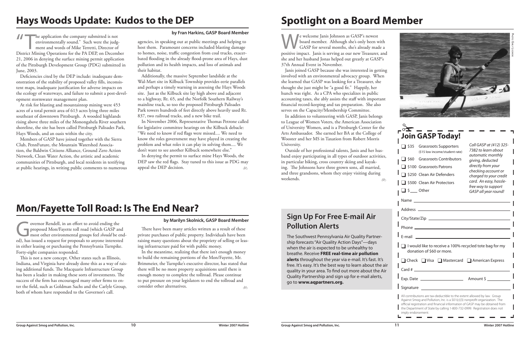We welcome Janis Johnson as GASP's newest<br>board member. Although she's only been we<br>GASP for several months, she's already mad board member. Although she's only been with GASP for several months, she's already made a positive impact. Janis is serving as our new Treasurer, and she and her husband Jonas helped out greatly at GASP's 37th Annual Event in November.

Outside of her professional talents, Janis and her husband enjoy participating in all types of outdoor activities, in particular biking, cross country skiing and kayaking. The Johnsons have three grown sons, all married, and three grandsons, whom they enjoy visiting during weekends.  $\overline{\mathcal{A}}$ 

Janis joined GASP because she was interested in getting involved with an environmental advocacy group. When she learned that GASP was looking for a Treasurer, she thought she just might be "a good fit." Happily, her hunch was right. As a CPA who specializes in public accounting taxes, she ably assists the staff with important financial record-keeping and tax preparation. She also serves on the Capacity/Membership Committee.

In addition to volunteering with GASP, Janis belongs to League of Women Voters, the American Association of University Women, and is a Pittsburgh Center for the Arts Ambassador. She earned her BA at the College of Wooster and her MS in Taxation from Robert Morris University.

**The application the company submitted is not** environmentally sound." Such were the judgment and words of Mike Terretti, Director of District Mining Operations for the PA DEP, on December 21, 2006 in denying the surface mining permit application of the Pittsburgh Development Group (PDG) submitted in June, 2003.

## **Spotlight on a Board Member**

|                                                                                                                                                                                                                                                                                                                                           | <b>Join GASP Today!</b>                                                                                                                                                                    |                                                                                                                                                                                                                 |
|-------------------------------------------------------------------------------------------------------------------------------------------------------------------------------------------------------------------------------------------------------------------------------------------------------------------------------------------|--------------------------------------------------------------------------------------------------------------------------------------------------------------------------------------------|-----------------------------------------------------------------------------------------------------------------------------------------------------------------------------------------------------------------|
| $\blacksquare$ \$60                                                                                                                                                                                                                                                                                                                       | \$35 Grassroots Supporters<br>(\$15 low income/student rate)<br><b>Grassroots Contributors</b><br><b>S100 Grassroots Patrons</b><br>S250 Clean Air Defenders<br>\$500 Clean Air Protectors | Call GASP at (412) 325-<br>7382 to learn about<br>automatic monthly<br>giving, deducted<br>directly from your<br>checking account or<br>charged to your credit<br>card. An easy, hassle-<br>free way to support |
| $\Box$ \$ ___ Other                                                                                                                                                                                                                                                                                                                       |                                                                                                                                                                                            | GASP all year round!                                                                                                                                                                                            |
| Name ____________<br>Address _________                                                                                                                                                                                                                                                                                                    |                                                                                                                                                                                            |                                                                                                                                                                                                                 |
|                                                                                                                                                                                                                                                                                                                                           |                                                                                                                                                                                            |                                                                                                                                                                                                                 |
| Phone ______________________<br>F-mail                                                                                                                                                                                                                                                                                                    |                                                                                                                                                                                            |                                                                                                                                                                                                                 |
| I would like to receive a 100% recycled tote bag for my<br>donation of \$60 or more.                                                                                                                                                                                                                                                      |                                                                                                                                                                                            |                                                                                                                                                                                                                 |
|                                                                                                                                                                                                                                                                                                                                           | □ Check □ Visa □ Mastercard □ American Express                                                                                                                                             |                                                                                                                                                                                                                 |
|                                                                                                                                                                                                                                                                                                                                           |                                                                                                                                                                                            |                                                                                                                                                                                                                 |
|                                                                                                                                                                                                                                                                                                                                           |                                                                                                                                                                                            | Amount \$                                                                                                                                                                                                       |
| Signature                                                                                                                                                                                                                                                                                                                                 |                                                                                                                                                                                            |                                                                                                                                                                                                                 |
| All contributions are tax-deductible to the extent allowed by law. Group<br>Against Smog and Pollution, Inc. is a 501(c)(3) nonprofit organization. The<br>official registration and financial information of GASP may be obtained from<br>the Department of State by calling 1-800-732-0999. Registration does not<br>imply endorsement. |                                                                                                                                                                                            |                                                                                                                                                                                                                 |

In denying the permit to surface mine Hays Woods, the DEP saw the red flags. Stay tuned to this issue as PDG may appeal the DEP decision.  $\bar{\phi}$ 

Governor Rendell, in an effort to avoid ending the<br>proposed Mon/Fayette toll road (which GASP an<br>most other environmental groups feel *should* be e<br>ed) has issued a request for proposals to anyone intereste proposed Mon/Fayette toll road (which GASP and most other environmental groups feel *should* be ended), has issued a request for proposals to anyone interested in either leasing or purchasing the Pennsylvania Turnpike. Forty-eight companies responded.

Deficiencies cited by the DEP include: inadequate demonstration of the stability of proposed valley fills, inconsistent maps, inadequate justification for adverse impacts on the ecology of waterways, and failure to submit a post-development stormwater management plan.

> In the meantime, realizing that there isn't enough money to build the remaining portions of the Mon/Fayette, Mr. Brimmeier, the Turnpike's executive director, has stated that there will be no more property acquisitions until there is enough money to complete the tollroad. Please continue to put pressure on your legislators to end the tollroad and consider other alternatives. ðħ

At risk for blasting and mountaintop mining were 453 acres of a total permit area of 613 acres lying three miles southeast of downtown Pittsburgh. A wooded highlands rising above three miles of the Monongahela River southern shoreline, the site has been called Pittsburgh Palisades Park, Hays Woods, and an oasis within the city.

Members of GASP have joined together with the Sierra Club, PennFuture, the Mountain Watershed Association, the Baldwin Citizens Alliance, Ground Zero Action Network, Clean Water Action, the artistic and academic communities of Pittsburgh, and local residents in testifying at public hearings, in writing public comments to numerous

### **by Fran Harkins, GASP Board Member**

### **Hays Woods Update: Kudos to the DEP**

agencies, in speaking out at public meetings and helping to host them. Paramount concerns included blasting damage to homes, noise, traffic congestion from coal trucks, exacerbated flooding in the already flood-prone area of Hays, dust pollution and its health impacts, and loss of animals and their habitat.

Additionally, the massive September landslide at the Wal-Mart site in Kilbuck Township provides eerie parallels and perhaps a timely warning in assessing the Hays Woods site. Just as the Kilbuck site lay high above and adjacent to a highway, Rt. 65, and the Norfolk Southern Railway's mainline track, so too the proposed Pittsburgh Palisades Park towers hundreds of feet directly above heavily used Rt. 837, two railroad tracks, and a new bike trail.

In November 2006, Representative Thomas Petrone called for legislative committee hearings on the Kilbuck debacle: "We need to know if red flags were missed.... We need to know the roles government may have played in creating the problem and what roles it can play in solving them.... We don't want to see another Kilbuck somewhere else."

#### **by Marilyn Skolnick, GASP Board Member**

### **Mon/Fayette Toll Road: Is The End Near?**

This is not a new concept. Other states such as Illinois, Indiana, and Virginia have already done this as a way of raising additional funds. The Macquarie Infrastructure Group has been a leader in making these sorts of investments. The success of the firm has encouraged many other firms to enter the field, such as Goldman Sachs and the Carlyle Group, both of whom have responded to the Governor's call.

There have been many articles written as a result of these private purchases of public property. Individuals have been raising many questions about the propriety of selling or leasing infrastructure paid for with public money.

### **Sign Up For Free E-mail Air Pollution Alerts**

The Southwest Pennsylvania Air Quality Partnership forecasts "Air Quality Action Days"—days when the air is expected to be unhealthy to breathe. Receive **FREE real-time air pollution alerts** throughout the year via e-mail. It's fast. It's free. It's easy. It's the best way to learn about the air quality in your area. To find out more about the Air Quality Partnership and sign up for e-mail alerts, go to **www.aqpartners.org.**

PHOTO: EMILY LISOWSKI